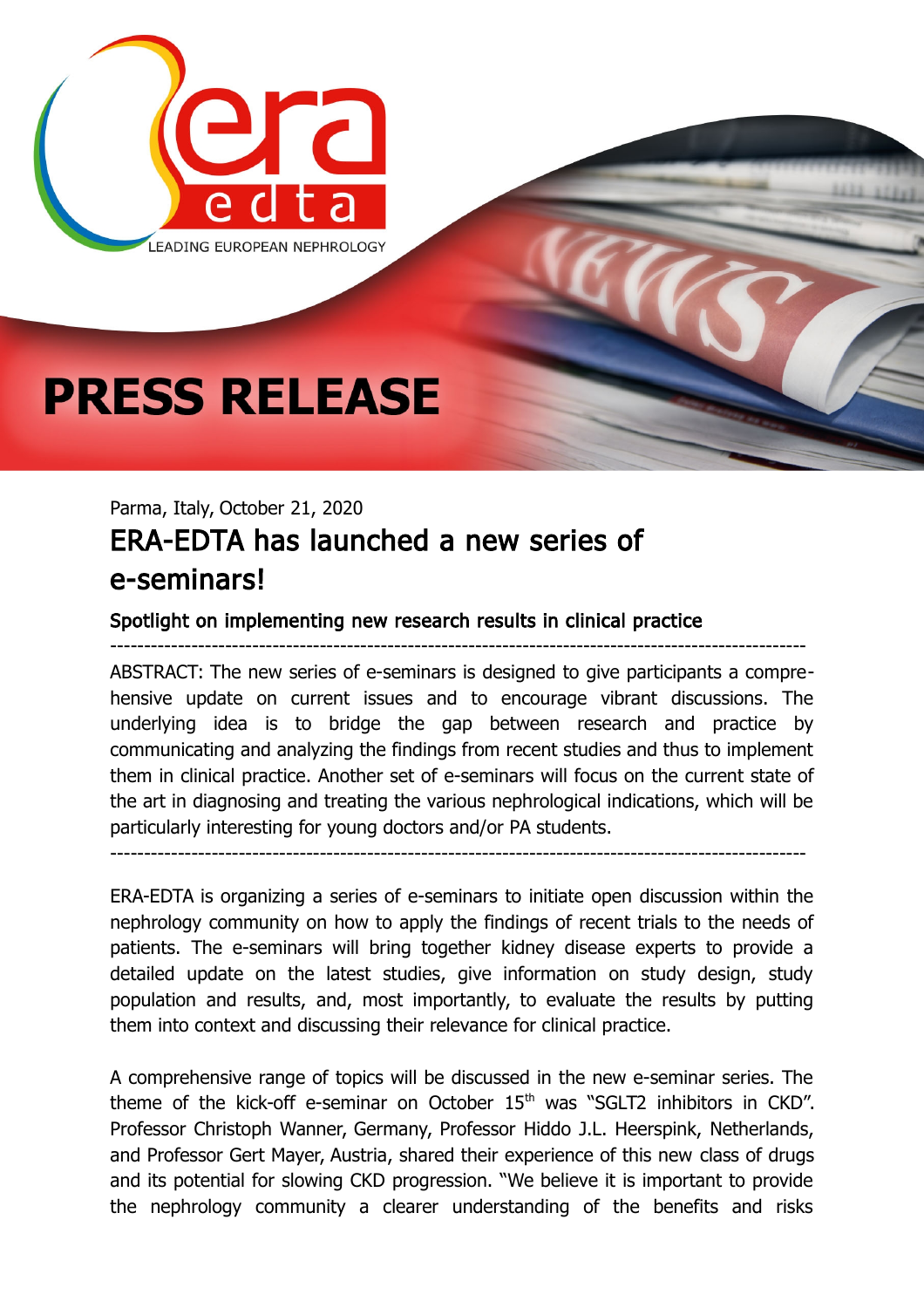

## **PRESS RELEASE**

## Parma, Italy, October 21, 2020 ERA-EDTA has launched a new series of e-seminars!

## Spotlight on implementing new research results in clinical practice

ABSTRACT: The new series of e-seminars is designed to give participants a comprehensive update on current issues and to encourage vibrant discussions. The underlying idea is to bridge the gap between research and practice by communicating and analyzing the findings from recent studies and thus to implement them in clinical practice. Another set of e-seminars will focus on the current state of the art in diagnosing and treating the various nephrological indications, which will be particularly interesting for young doctors and/or PA students.

-------------------------------------------------------------------------------------------------------

-------------------------------------------------------------------------------------------------------

ERA-EDTA is organizing a series of e-seminars to initiate open discussion within the nephrology community on how to apply the findings of recent trials to the needs of patients. The e-seminars will bring together kidney disease experts to provide a detailed update on the latest studies, give information on study design, study population and results, and, most importantly, to evaluate the results by putting them into context and discussing their relevance for clinical practice.

A comprehensive range of topics will be discussed in the new e-seminar series. The theme of the kick-off e-seminar on October  $15<sup>th</sup>$  was "SGLT2 inhibitors in CKD". Professor Christoph Wanner, Germany, Professor Hiddo J.L. Heerspink, Netherlands, and Professor Gert Mayer, Austria, shared their experience of this new class of drugs and its potential for slowing CKD progression. "We believe it is important to provide the nephrology community a clearer understanding of the benefits and risks